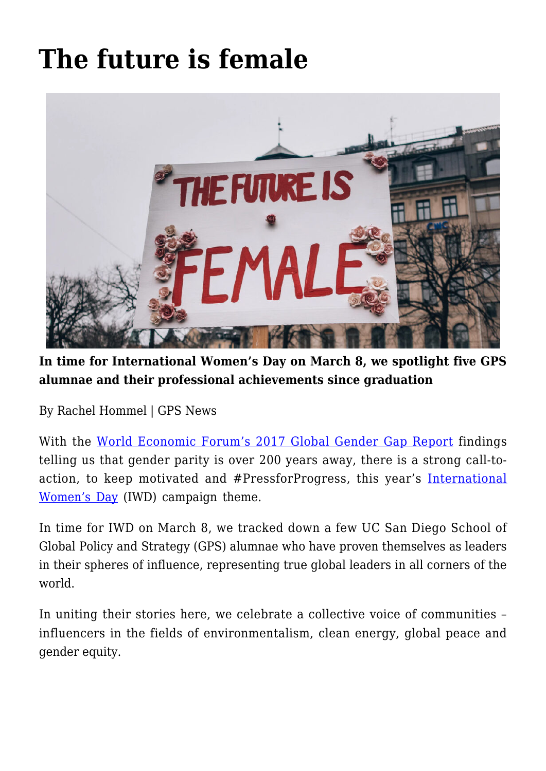## **[The future is female](https://gpsnews.ucsd.edu/the-future-is-female/)**



**In time for International Women's Day on March 8, we spotlight five GPS alumnae and their professional achievements since graduation**

By Rachel Hommel | GPS News

With the [World Economic Forum's 2017 Global Gender Gap Report](https://www.wherewomenwork.com/Career/640/Global-Gender-Gap-WorldEconomicForum) findings telling us that gender parity is over 200 years away, there is a strong call-toaction, to keep motivated and #PressforProgress, this year's [International](https://www.internationalwomensday.com/) [Women's Day](https://www.internationalwomensday.com/) (IWD) campaign theme.

In time for IWD on March 8, we tracked down a few UC San Diego School of Global Policy and Strategy (GPS) alumnae who have proven themselves as leaders in their spheres of influence, representing true global leaders in all corners of the world.

In uniting their stories here, we celebrate a collective voice of communities – influencers in the fields of environmentalism, clean energy, global peace and gender equity.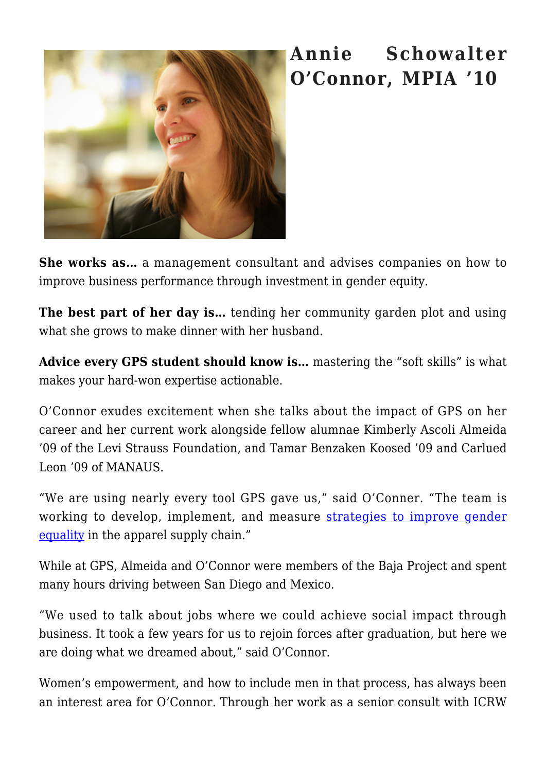

## **Annie Schowalter O'Connor, MPIA '10**

**She works as…** a management consultant and advises companies on how to improve business performance through investment in gender equity.

**The best part of her day is…** tending her community garden plot and using what she grows to make dinner with her husband.

**Advice every GPS student should know is…** mastering the "soft skills" is what makes your hard-won expertise actionable.

O'Connor exudes excitement when she talks about the impact of GPS on her career and her current work alongside fellow alumnae Kimberly Ascoli Almeida '09 of the Levi Strauss Foundation, and Tamar Benzaken Koosed '09 and Carlued Leon '09 of MANAUS.

"We are using nearly every tool GPS gave us," said O'Conner. "The team is working to develop, implement, and measure [strategies to improve gender](http://levistrauss.com/wp-content/uploads/2015/03/IMPROVING-BUSINESS-PERFORMANCE-THROUGH-GENDER-EQUALITY_OCT-2017_FINAL.pdf) [equality](http://levistrauss.com/wp-content/uploads/2015/03/IMPROVING-BUSINESS-PERFORMANCE-THROUGH-GENDER-EQUALITY_OCT-2017_FINAL.pdf) in the apparel supply chain."

While at GPS, Almeida and O'Connor were members of the Baja Project and spent many hours driving between San Diego and Mexico.

"We used to talk about jobs where we could achieve social impact through business. It took a few years for us to rejoin forces after graduation, but here we are doing what we dreamed about," said O'Connor.

Women's empowerment, and how to include men in that process, has always been an interest area for O'Connor. Through her work as a senior consult with ICRW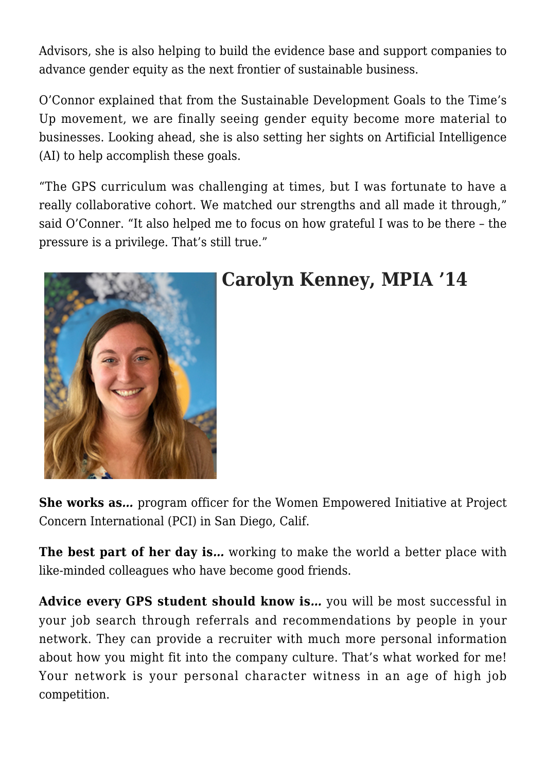Advisors, she is also helping to build the evidence base and support companies to advance gender equity as the next frontier of sustainable business.

O'Connor explained that from the Sustainable Development Goals to the Time's Up movement, we are finally seeing gender equity become more material to businesses. Looking ahead, she is also setting her sights on Artificial Intelligence (AI) to help accomplish these goals.

"The GPS curriculum was challenging at times, but I was fortunate to have a really collaborative cohort. We matched our strengths and all made it through," said O'Conner. "It also helped me to focus on how grateful I was to be there – the pressure is a privilege. That's still true."



## **Carolyn Kenney, MPIA '14**

**She works as***…* program officer for the Women Empowered Initiative at Project Concern International (PCI) in San Diego, Calif.

**The best part of her day is...** working to make the world a better place with like-minded colleagues who have become good friends.

**Advice every GPS student should know is***…* you will be most successful in your job search through referrals and recommendations by people in your network. They can provide a recruiter with much more personal information about how you might fit into the company culture. That's what worked for me! Your network is your personal character witness in an age of high job competition.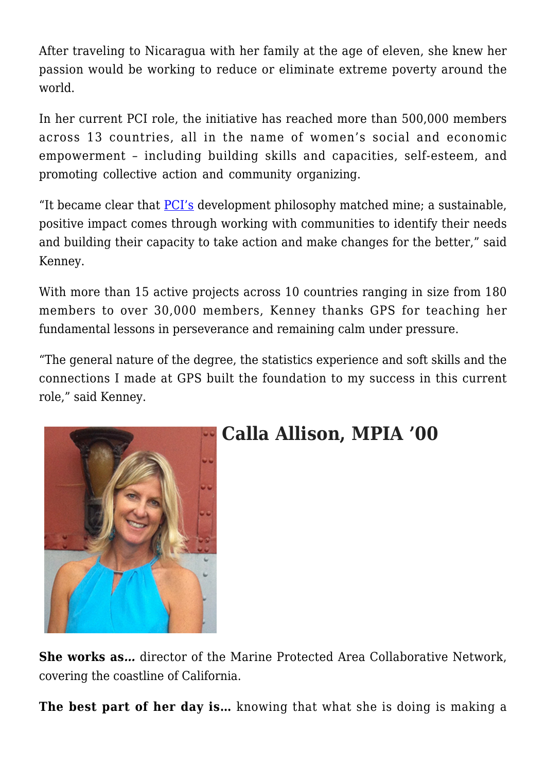After traveling to Nicaragua with her family at the age of eleven, she knew her passion would be working to reduce or eliminate extreme poverty around the world.

In her current PCI role, the initiative has reached more than 500,000 members across 13 countries, all in the name of women's social and economic empowerment – including building skills and capacities, self-esteem, and promoting collective action and community organizing.

"It became clear that [PCI's](https://www.pciglobal.org/) development philosophy matched mine; a sustainable, positive impact comes through working with communities to identify their needs and building their capacity to take action and make changes for the better," said Kenney.

With more than 15 active projects across 10 countries ranging in size from 180 members to over 30,000 members, Kenney thanks GPS for teaching her fundamental lessons in perseverance and remaining calm under pressure.

"The general nature of the degree, the statistics experience and soft skills and the connections I made at GPS built the foundation to my success in this current role," said Kenney.



## **Calla Allison, MPIA '00**

**She works as***…* director of the Marine Protected Area Collaborative Network, covering the coastline of California.

**The best part of her day is…** knowing that what she is doing is making a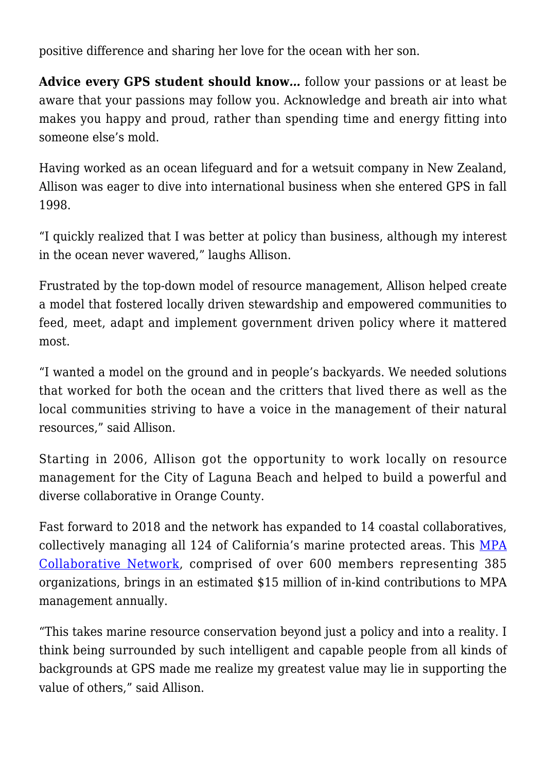positive difference and sharing her love for the ocean with her son.

**Advice every GPS student should know***…* follow your passions or at least be aware that your passions may follow you. Acknowledge and breath air into what makes you happy and proud, rather than spending time and energy fitting into someone else's mold.

Having worked as an ocean lifeguard and for a wetsuit company in New Zealand, Allison was eager to dive into international business when she entered GPS in fall 1998.

"I quickly realized that I was better at policy than business, although my interest in the ocean never wavered," laughs Allison.

Frustrated by the top-down model of resource management, Allison helped create a model that fostered locally driven stewardship and empowered communities to feed, meet, adapt and implement government driven policy where it mattered most.

"I wanted a model on the ground and in people's backyards. We needed solutions that worked for both the ocean and the critters that lived there as well as the local communities striving to have a voice in the management of their natural resources," said Allison.

Starting in 2006, Allison got the opportunity to work locally on resource management for the City of Laguna Beach and helped to build a powerful and diverse collaborative in Orange County.

Fast forward to 2018 and the network has expanded to 14 coastal collaboratives, collectively managing all 124 of California's marine protected areas. This [MPA](http://www.mpacollaborative.org/) [Collaborative Network,](http://www.mpacollaborative.org/) comprised of over 600 members representing 385 organizations, brings in an estimated \$15 million of in-kind contributions to MPA management annually.

"This takes marine resource conservation beyond just a policy and into a reality. I think being surrounded by such intelligent and capable people from all kinds of backgrounds at GPS made me realize my greatest value may lie in supporting the value of others," said Allison.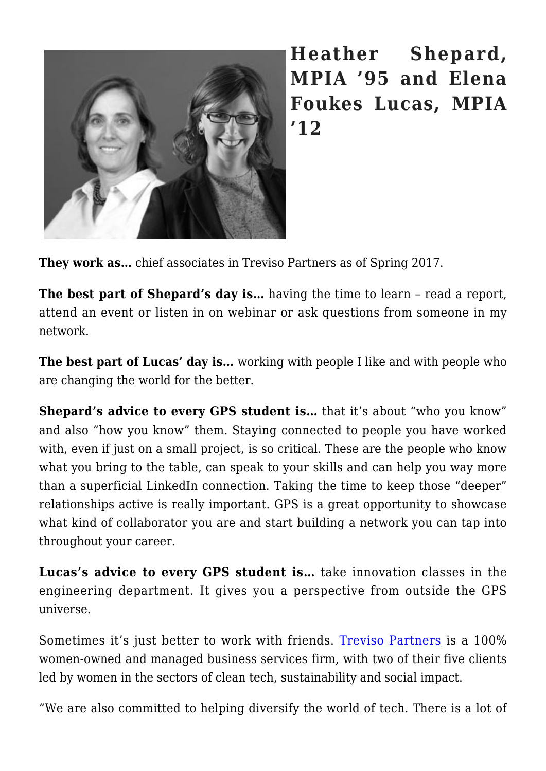

**Heather Shepard, MPIA '95 and Elena Foukes Lucas, MPIA '12**

**They work as…** chief associates in Treviso Partners as of Spring 2017.

**The best part of Shepard's day is…** having the time to learn – read a report, attend an event or listen in on webinar or ask questions from someone in my network.

**The best part of Lucas' day is…** working with people I like and with people who are changing the world for the better.

**Shepard's advice to every GPS student is...** that it's about "who you know" and also "how you know" them. Staying connected to people you have worked with, even if just on a small project, is so critical. These are the people who know what you bring to the table, can speak to your skills and can help you way more than a superficial LinkedIn connection. Taking the time to keep those "deeper" relationships active is really important. GPS is a great opportunity to showcase what kind of collaborator you are and start building a network you can tap into throughout your career.

**Lucas's advice to every GPS student is…** take innovation classes in the engineering department. It gives you a perspective from outside the GPS universe.

Sometimes it's just better to work with friends. [Treviso Partners](http://www.trevisopartners.com/) is a 100% women-owned and managed business services firm, with two of their five clients led by women in the sectors of clean tech, sustainability and social impact.

"We are also committed to helping diversify the world of tech. There is a lot of